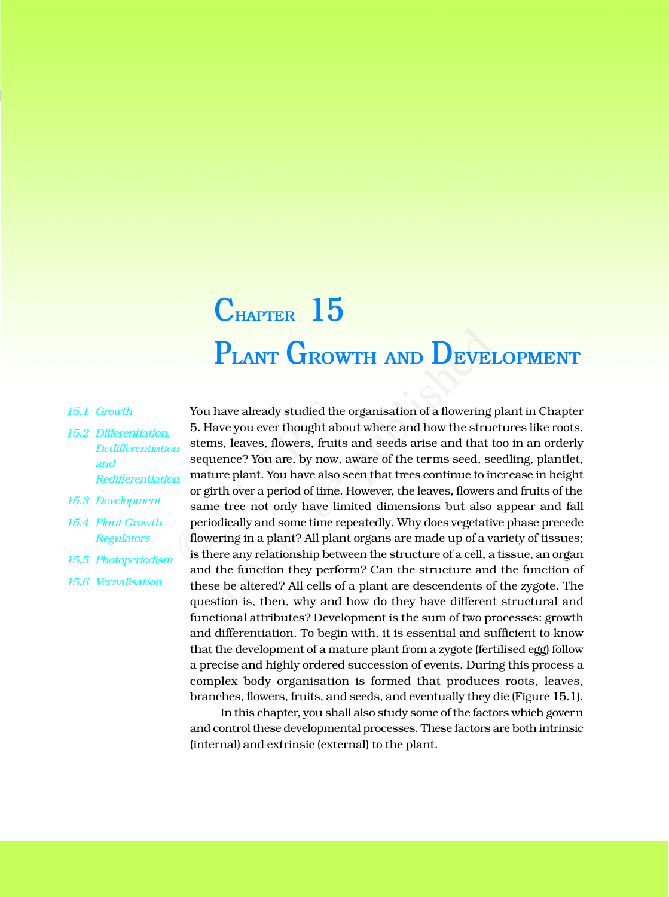## **PLANT GROWTH AND DEVELOPMENT CHAPTER 15**

- *15.1 Growth*
- *15.2 Differentiation, Dedifferentiation and Redifferentiation*
- *15.3 Development*
- *15.4 Plant Growth Regulators*
- *15.5 Photoperiodism*
- *15.6 Vernalisation*

You have already studied the organisation of a flowering plant in Chapter 5. Have you ever thought about where and how the structures like roots, stems, leaves, flowers, fruits and seeds arise and that too in an orderly sequence? You are, by now, aware of the terms seed, seedling, plantlet, mature plant. You have also seen that trees continue to increase in height or girth over a period of time. However, the leaves, flowers and fruits of the same tree not only have limited dimensions but also appear and fall periodically and some time repeatedly. Why does vegetative phase precede flowering in a plant? All plant organs are made up of a variety of tissues; is there any relationship between the structure of a cell, a tissue, an organ and the function they perform? Can the structure and the function of these be altered? All cells of a plant are descendents of the zygote. The question is, then, why and how do they have different structural and functional attributes? Development is the sum of two processes: growth and differentiation. To begin with, it is essential and sufficient to know that the development of a mature plant from a zygote (fertilised egg) follow a precise and highly ordered succession of events. During this process a complex body organisation is formed that produces roots, leaves, branches, flowers, fruits, and seeds, and eventually they die (Figure 15.1). You have already studied the or<br>5. Have you ever thought about<br>stems, leaves, flowers, fruits a<br>sequence? You are, by now, aw<br>mature plant. You have also see<br>or girth over a period of time. Ho<br>same tree not only have limi **PLANT GROWTH AND DEVE!**<br>aave already studied the organisation of a flowering<br>we you ever thought about where and how the struce,<br>s, leaves, flowers, fruits and seeds arise and that t<br>ence? You are, by now, aware of the te

In this chapter, you shall also study some of the factors which govern and control these developmental processes. These factors are both intrinsic (internal) and extrinsic (external) to the plant.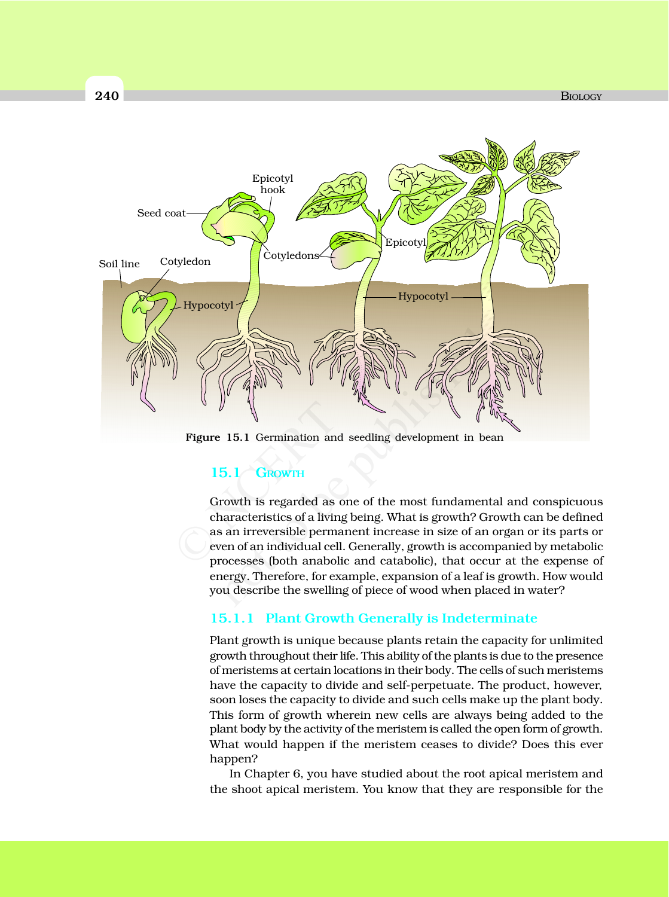

**Figure 15.1** Germination and seedling development in bean

## **15.1 GROWTH**

Growth is regarded as one of the most fundamental and conspicuous characteristics of a living being. What is growth? Growth can be defined as an irreversible permanent increase in size of an organ or its parts or even of an individual cell. Generally, growth is accompanied by metabolic processes (both anabolic and catabolic), that occur at the expense of energy. Therefore, for example, expansion of a leaf is growth. How would you describe the swelling of piece of wood when placed in water? Figure 15.1 Germination and se<br>
15.1 GROWTH<br>
Growth is regarded as one<br>
characteristics of a living be<br>
as an irreversible permane:<br>
even of an individual cell. Germines

## **15.1.1 Plant Growth Generally is Indeterminate**

Plant growth is unique because plants retain the capacity for unlimited growth throughout their life. This ability of the plants is due to the presence of meristems at certain locations in their body. The cells of such meristems have the capacity to divide and self-perpetuate. The product, however, soon loses the capacity to divide and such cells make up the plant body. This form of growth wherein new cells are always being added to the plant body by the activity of the meristem is called the open form of growth. What would happen if the meristem ceases to divide? Does this ever happen?

In Chapter 6, you have studied about the root apical meristem and the shoot apical meristem. You know that they are responsible for the